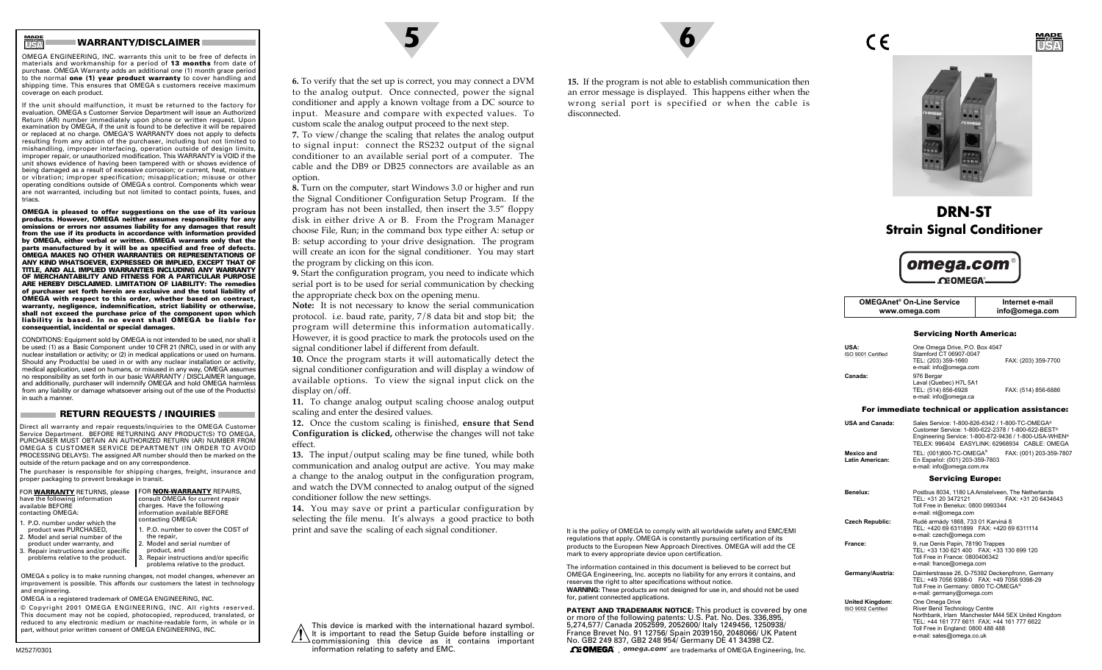# **WARRANTY/DISCLAIMER 5 6**

**USAMADE IN**

OMEGA ENGINEERING, INC. warrants this unit to be free of defects in materials and workmanship for a period of **13 months** from date of purchase. OMEGA Warranty adds an additional one (1) month grace period to the normal **one (1) year product warranty** to cover handling and shipping time. This ensures that OMEGA s customers receive maximum coverage on each product.

If the unit should malfunction, it must be returned to the factory for evaluation. OMEGA s Customer Service Department will issue an Authorized Return (AR) number immediately upon phone or written request. Upon examination by OMEGA, if the unit is found to be defective it will be repaired or replaced at no charge. OMEGA'S WARRANTY does not apply to defects resulting from any action of the purchaser, including but not limited to mishandling, improper interfacing, operation outside of design limits, improper repair, or unauthorized modification. This WARRANTY is VOID if the unit shows evidence of having been tampered with or shows evidence of being damaged as a result of excessive corrosion; or current, heat, moisture or vibration; improper specification; misapplication; misuse or other operating conditions outside of OMEGA s control. Components which wear are not warranted, including but not limited to contact points, fuses, and triacs.

**OMEGA is pleased to offer suggestions on the use of its various products. However, OMEGA neither assumes responsibility for any omissions or errors nor assumes liability for any damages that result from the use if its products in accordance with information provided by OMEGA, either verbal or written. OMEGA warrants only that the parts manufactured by it will be as specified and free of defects. OMEGA MAKES NO OTHER WARRANTIES OR REPRESENTATIONS OF ANY KIND WHATSOEVER, EXPRESSED OR IMPLIED, EXCEPT THAT OF TITLE, AND ALL IMPLIED WARRANTIES INCLUDING ANY WARRANTY OF MERCHANTABILITY AND FITNESS FOR A PARTICULAR PURPOSE ARE HEREBY DISCLAIMED. LIMITATION OF LIABILITY: The remedies of purchaser set forth herein are exclusive and the total liability of OMEGA with respect to this order, whether based on contract, warranty, negligence, indemnification, strict liability or otherwise, shall not exceed the purchase price of the component upon which liability is based. In no event shall OMEGA be liable for consequential, incidental or special damages.**

CONDITIONS: Equipment sold by OMEGA is not intended to be used, nor shall it be used: (1) as a Basic Component under 10 CFR 21 (NRC), used in or with any nuclear installation or activity; or (2) in medical applications or used on humans. Should any Product(s) be used in or with any nuclear installation or activity, medical application, used on humans, or misused in any way, OMEGA assumes no responsibility as set forth in our basic WARRANTY / DISCLAIMER language, and additionally, purchaser will indemnify OMEGA and hold OMEGA harmless from any liability or damage whatsoever arising out of the use of the Product(s) in such a manner.

#### **RETURN REQUESTS / INQUIRIES**

Direct all warranty and repair requests/inquiries to the OMEGA Customer Service Department. BEFORE RETURNING ANY PRODUCT(S) TO OMEGA, PURCHASER MUST OBTAIN AN AUTHORIZED RETURN (AR) NUMBER FROM OMEGA S CUSTOMER SERVICE DEPARTMENT (IN ORDER TO AVOID PROCESSING DELAYS). The assigned AR number should then be marked on the outside of the return package and on any correspondence.

The purchaser is responsible for shipping charges, freight, insurance and proper packaging to prevent breakage in transit.

| FOR WARRANTY RETURNS, please<br>have the following information | FOR NON-WARRANTY REPAIRS,<br>consult OMEGA for current repair |
|----------------------------------------------------------------|---------------------------------------------------------------|
| available BEFORE                                               | charges. Have the following                                   |
| contacting OMEGA:                                              | information available BEFORE                                  |
| 1. P.O. number under which the                                 | contacting OMEGA:                                             |
| product was PURCHASED,                                         | 1. P.O. number to cover the COST                              |

2. Model and serial number of the1. P.O. number to cover the COST ofthe repair,

problems relative to the product.

product under warranty, and 3. Repair instructions and/or specific Model and serial number of product, and Repair instructions and/or specific

problems relative to the product.

OMEGA s policy is to make running changes, not model changes, whenever an improvement is possible. This affords our customers the latest in technology and engineering.

OMEGA is a registered trademark of OMEGA ENGINEERING, INC. © Copyright 2001 OMEGA ENGINEERING, INC. All rights reserved. This document may not be copied, photocopied, reproduced, translated, or reduced to any electronic medium or machine-readable form, in whole or in part, without prior written consent of OMEGA ENGINEERING, INC.



**7.** To view/change the scaling that relates the analog output to signal input: connect the RS232 output of the signal conditioner to an available serial port of a computer. The cable and the DB9 or DB25 connectors are available as an option.

**8.** Turn on the computer, start Windows 3.0 or higher and run the Signal Conditioner Configuration Setup Program. If the program has not been installed, then insert the 3.5" floppy disk in either drive A or B. From the Program Manager choose File, Run; in the command box type either A: setup or B: setup according to your drive designation. The program will create an icon for the signal conditioner. You may start the program by clicking on this icon.

**9.** Start the configuration program, you need to indicate which serial port is to be used for serial communication by checking the appropriate check box on the opening menu.

**Note:** It is not necessary to know the serial communication protocol. i.e. baud rate, parity, 7/8 data bit and stop bit; the program will determine this information automatically. However, it is good practice to mark the protocols used on the signal conditioner label if different from default.

**10.** Once the program starts it will automatically detect the signal conditioner configuration and will display a window of available options. To view the signal input click on the display on/off.

**11.** To change analog output scaling choose analog output scaling and enter the desired values.

**12.** Once the custom scaling is finished, **ensure that Send Configuration is clicked,** otherwise the changes will not take effect.

**13.** The input/output scaling may be fine tuned, while both communication and analog output are active. You may make a change to the analog output in the configuration program, and watch the DVM connected to analog output of the signed conditioner follow the new settings.

**14.** You may save or print a particular configuration by selecting the file menu. It's always a good practice to both print and save the scaling of each signal conditioner.

It is important to read the Setup Guide before installing or commissioning this device as it contains important information relating to safety and EMC.

**15.** If the program is not able to establish communication then an error message is displayed. This happens either when the wrong serial port is specified or when the cable is disconnected.

It is the policy of OMEGA to comply with all worldwide safety and EMC/EMI regulations that apply. OMEGA is constantly pursuing certification of its products to the European New Approach Directives. OMEGA will add the CE

The information contained in this document is believed to be correct butOMEGA Engineering, Inc. accepts no liability for any errors it contains, and

WARNING: These products are not designed for use in, and should not be used

**PATENT AND TRADEMARK NOTICE:** This product is covered by one or more of the following patents: U.S. Pat. No. Des. 336,895, 5,274,577/ Canada 2052599, 2052600/ Italy 1249456, 1250938/ France Brevet No. 91 12756/ Spain 2039150, 2048066/ UK Patent No. GB2 249 837, GB2 248 954/ Germany DE 41 34398 C2.  $\Omega$  DMEGA<sup> $\Omega$ </sup>,  $\Omega$ <sup>omega.com<sup>®</sup> are trademarks of OMEGA Engineering, Inc.</sup>

mark to every appropriate device upon certification.

for, patient connected applications.

reserves the right to alter specifications without notice.



 $\epsilon$ 

**USAMADEIN**

**DRN-STStrain Signal Conditioner**



| <b>OMEGAnet<sup>®</sup> On-Line Service</b> | Internet e-mail |
|---------------------------------------------|-----------------|
| www.omega.com                               | info@omega.com  |
|                                             |                 |

#### Servicing North America:

| <b>USA:</b><br>ISO 9001 Certified | One Omega Drive, P.O. Box 4047<br>Stamford CT 06907-0047<br>TEL: (203) 359-1660<br>e-mail: info@omega.com | FAX: (203) 359-7700 |
|-----------------------------------|-----------------------------------------------------------------------------------------------------------|---------------------|
| Canada:                           | 976 Bergar<br>Laval (Quebec) H7L 5A1<br>TEL: (514) 856-6928<br>e-mail: info@omega.ca                      | FAX: (514) 856-6886 |

#### For immediate technical or application assistance:

| <b>USA and Canada:</b>        | Sales Service: 1-800-826-6342 / 1-800-TC-OMEGA®<br>Customer Service: 1-800-622-2378 / 1-800-622-BEST®<br>Engineering Service: 1-800-872-9436 / 1-800-USA-WHEN®<br>TELEX: 996404 EASYLINK: 62968934 CABLE: OMEGA |  |
|-------------------------------|-----------------------------------------------------------------------------------------------------------------------------------------------------------------------------------------------------------------|--|
| Mexico and<br>Latin American: | TEL: (001)800-TC-OMEGA <sup>®</sup><br>FAX: (001) 203-359-7807<br>En Español: (001) 203-359-7803<br>e-mail: info@omega.com.mx                                                                                   |  |
| <b>Servicing Europe:</b>      |                                                                                                                                                                                                                 |  |
| Benelux:                      | Postbus 8034, 1180 LA Amstelveen, The Netherlands<br>TEL: +31 20 3472121<br>FAX: +31 20 6434643<br>Toll Free in Benelux: 0800 0993344<br>e-mail: nl@omega.com                                                   |  |
| <b>Czech Republic:</b>        | Rudé armády 1868, 733 01 Karviná 8<br>TEL: +420 69 6311899 FAX: +420 69 6311114<br>e-mail: czech@omega.com                                                                                                      |  |
| France:                       | 9, rue Denis Papin, 78190 Trappes<br>TEL: +33 130 621 400  FAX: +33 130 699 120<br>Toll Free in France: 0800406342<br>e-mail: france@omega.com                                                                  |  |
| Germany/Austria:              | Daimlerstrasse 26, D-75392 Deckenpfronn, Germany<br>TEL: +49 7056 9398-0   FAX: +49 7056 9398-29<br>Toll Free in Germany: 0800 TC-OMEGA®<br>e-mail: germany@omega.com                                           |  |
| <b>Ilnited Kingdom</b>        | One Omena Drive                                                                                                                                                                                                 |  |

**United Kingdom:** One Omega Drive ISO 9002 Certified River Bend Technology Centre Northbank, Irlam Manchester M44 5EX United Kingdom TEL: +44 161 777 6611 FAX: +44 161 777 6622 Toll Free in England: 0800 488 488 e-mail: sales@omega.co.uk

This device is marked with the international hazard symbol.